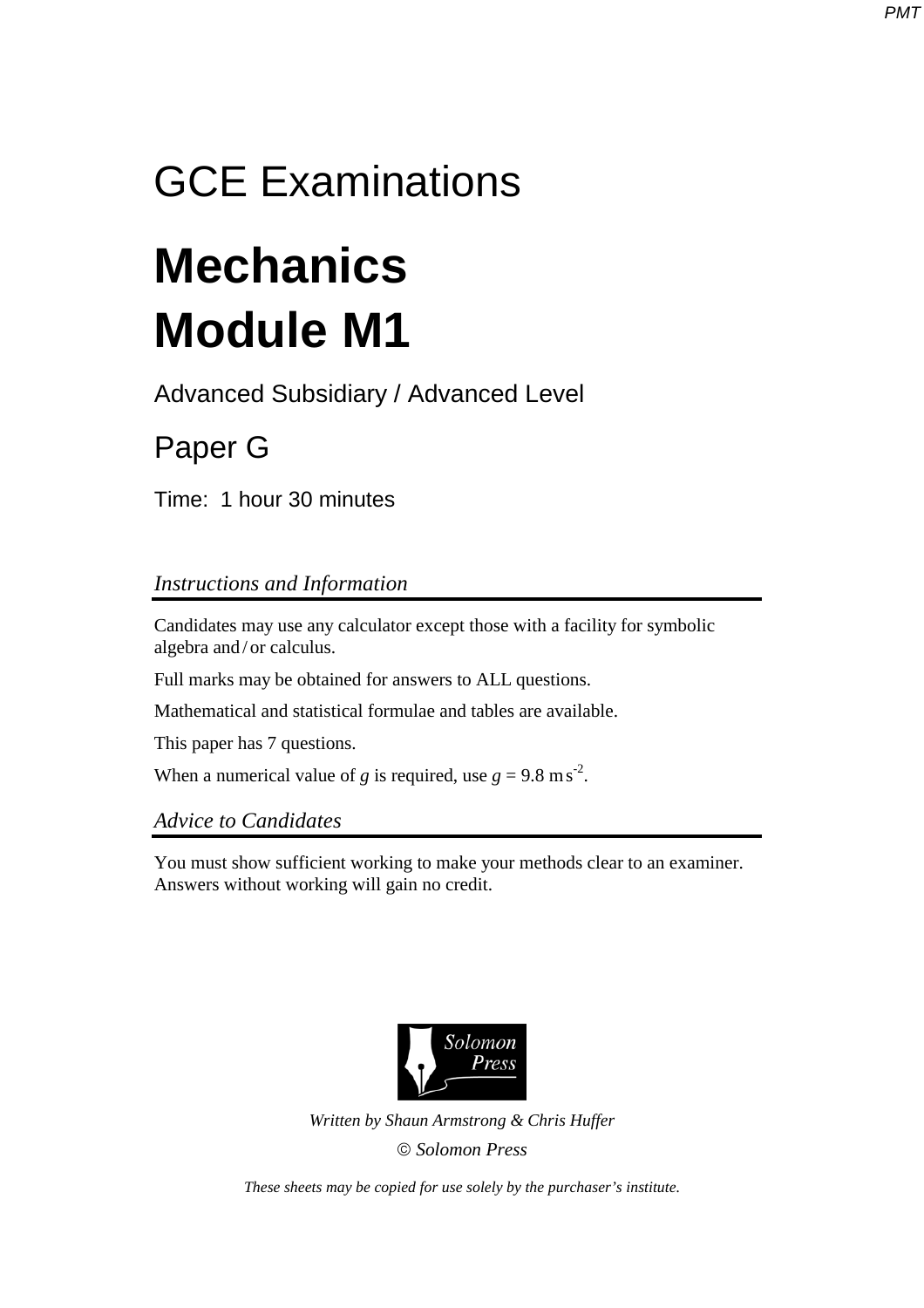## GCE Examinations

# **Mechanics Module M1**

Advanced Subsidiary / Advanced Level

## Paper G

Time: 1 hour 30 minutes

### *Instructions and Information*

Candidates may use any calculator except those with a facility for symbolic algebra and / or calculus.

Full marks may be obtained for answers to ALL questions.

Mathematical and statistical formulae and tables are available.

This paper has 7 questions.

When a numerical value of *g* is required, use  $g = 9.8 \text{ m s}^2$ .

*Advice to Candidates* 

You must show sufficient working to make your methods clear to an examiner. Answers without working will gain no credit.



*Written by Shaun Armstrong & Chris Huffer Solomon Press* 

*These sheets may be copied for use solely by the purchaser's institute.*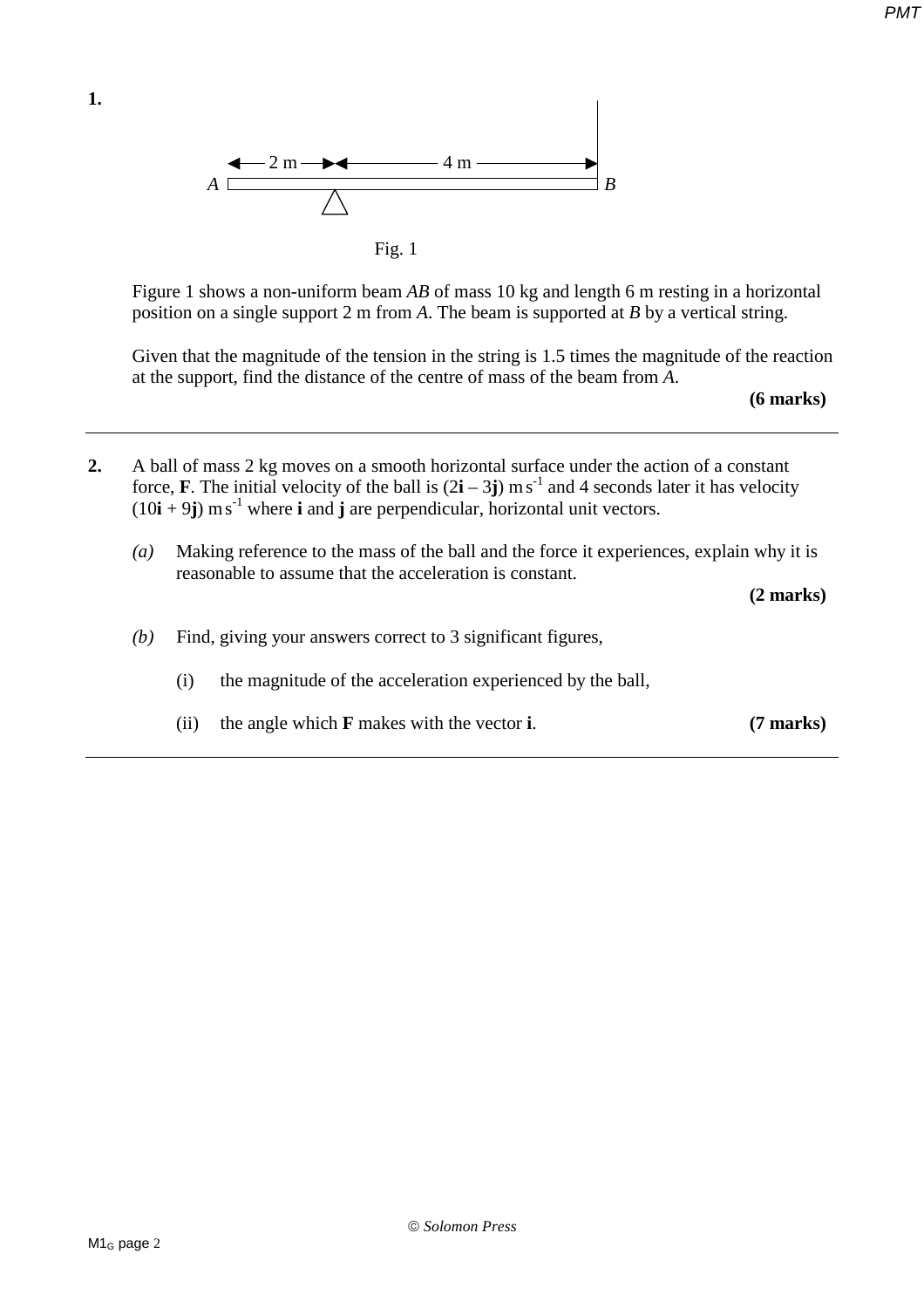

Fig. 1

 Figure 1 shows a non-uniform beam *AB* of mass 10 kg and length 6 m resting in a horizontal position on a single support 2 m from *A*. The beam is supported at *B* by a vertical string.

 Given that the magnitude of the tension in the string is 1.5 times the magnitude of the reaction at the support, find the distance of the centre of mass of the beam from *A*.

**(6 marks)** 

**2.** A ball of mass 2 kg moves on a smooth horizontal surface under the action of a constant force, **F**. The initial velocity of the ball is  $(2\mathbf{i} - 3\mathbf{j})$  ms<sup>-1</sup> and 4 seconds later it has velocity  $(10\mathbf{i} + 9\mathbf{j}) \text{ m s}^{-1}$  where **i** and **j** are perpendicular, horizontal unit vectors. *(a)* Making reference to the mass of the ball and the force it experiences, explain why it is reasonable to assume that the acceleration is constant.

**(2 marks)** 

- *(b)* Find, giving your answers correct to 3 significant figures,
	- (i) the magnitude of the acceleration experienced by the ball,
	- (ii) the angle which **F** makes with the vector **i**. **(7 marks)**

*PMT*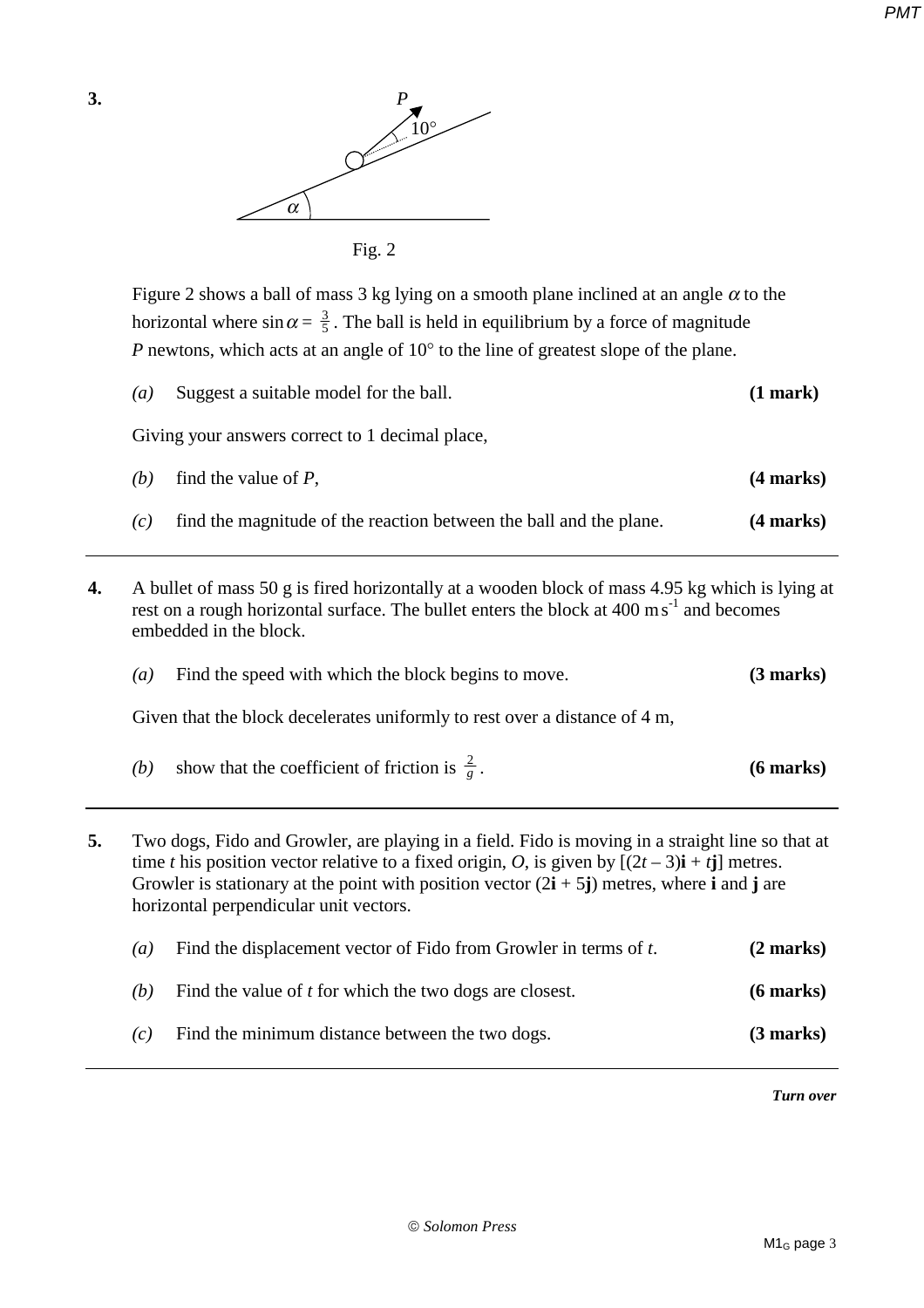*PMT*



Fig. 2

Figure 2 shows a ball of mass 3 kg lying on a smooth plane inclined at an angle  $\alpha$  to the horizontal where  $\sin \alpha = \frac{3}{5}$ . The ball is held in equilibrium by a force of magnitude *P* newtons, which acts at an angle of 10° to the line of greatest slope of the plane.

|    | $\left(a\right)$                                                                                                                                                                                                                 | Suggest a suitable model for the ball.                                     | (1 mark)            |
|----|----------------------------------------------------------------------------------------------------------------------------------------------------------------------------------------------------------------------------------|----------------------------------------------------------------------------|---------------------|
|    | Giving your answers correct to 1 decimal place,                                                                                                                                                                                  |                                                                            |                     |
|    | (b)                                                                                                                                                                                                                              | find the value of $P$ ,                                                    | $(4$ marks $)$      |
|    | (c)                                                                                                                                                                                                                              | find the magnitude of the reaction between the ball and the plane.         | (4 marks)           |
| 4. | A bullet of mass 50 g is fired horizontally at a wooden block of mass 4.95 kg which is lying at<br>rest on a rough horizontal surface. The bullet enters the block at 400 ms <sup>-1</sup> and becomes<br>embedded in the block. |                                                                            |                     |
|    | (a)                                                                                                                                                                                                                              | Find the speed with which the block begins to move.                        | $(3 \text{ marks})$ |
|    |                                                                                                                                                                                                                                  | Given that the block decelerates uniformly to rest over a distance of 4 m, |                     |
|    | (b)                                                                                                                                                                                                                              | show that the coefficient of friction is $\frac{2}{g}$ .                   | $(6$ marks)         |
|    |                                                                                                                                                                                                                                  |                                                                            |                     |

| 5. | Two dogs, Fido and Growler, are playing in a field. Fido is moving in a straight line so that at<br>time t his position vector relative to a fixed origin, O, is given by $[(2t-3)i + tj]$ metres.<br>Growler is stationary at the point with position vector $(2\mathbf{i} + 5\mathbf{j})$ metres, where i and j are<br>horizontal perpendicular unit vectors. |                                                                  |                     |  |
|----|-----------------------------------------------------------------------------------------------------------------------------------------------------------------------------------------------------------------------------------------------------------------------------------------------------------------------------------------------------------------|------------------------------------------------------------------|---------------------|--|
|    | $\left( a\right)$                                                                                                                                                                                                                                                                                                                                               | Find the displacement vector of Fido from Growler in terms of t. | $(2 \text{ marks})$ |  |
|    | (b)                                                                                                                                                                                                                                                                                                                                                             | Find the value of <i>t</i> for which the two dogs are closest.   | $(6$ marks)         |  |

*(c)* Find the minimum distance between the two dogs. **(3 marks)** 

*Turn over*